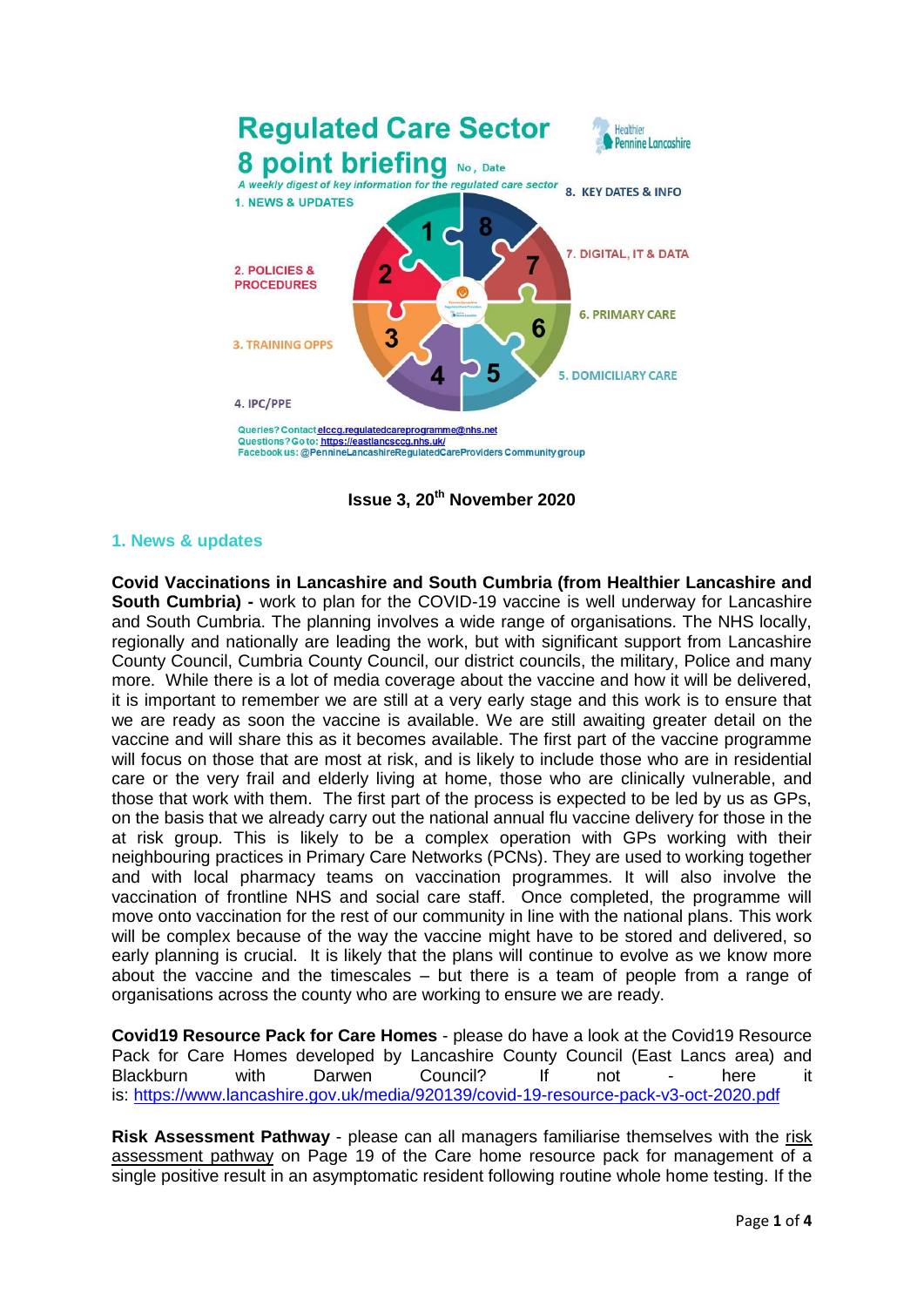

**Issue 3, 20th November 2020**

### **1. News & updates**

**Covid Vaccinations in Lancashire and South Cumbria (from Healthier Lancashire and South Cumbria) -** work to plan for the COVID-19 vaccine is well underway for Lancashire and South Cumbria. The planning involves a wide range of organisations. The NHS locally, regionally and nationally are leading the work, but with significant support from Lancashire County Council, Cumbria County Council, our district councils, the military, Police and many more. While there is a lot of media coverage about the vaccine and how it will be delivered, it is important to remember we are still at a very early stage and this work is to ensure that we are ready as soon the vaccine is available. We are still awaiting greater detail on the vaccine and will share this as it becomes available. The first part of the vaccine programme will focus on those that are most at risk, and is likely to include those who are in residential care or the very frail and elderly living at home, those who are clinically vulnerable, and those that work with them. The first part of the process is expected to be led by us as GPs, on the basis that we already carry out the national annual flu vaccine delivery for those in the at risk group. This is likely to be a complex operation with GPs working with their neighbouring practices in Primary Care Networks (PCNs). They are used to working together and with local pharmacy teams on vaccination programmes. It will also involve the vaccination of frontline NHS and social care staff. Once completed, the programme will move onto vaccination for the rest of our community in line with the national plans. This work will be complex because of the way the vaccine might have to be stored and delivered, so early planning is crucial. It is likely that the plans will continue to evolve as we know more about the vaccine and the timescales – but there is a team of people from a range of organisations across the county who are working to ensure we are ready.

**Covid19 Resource Pack for Care Homes** - please do have a look at the Covid19 Resource Pack for Care Homes developed by Lancashire County Council (East Lancs area) and Blackburn with Darwen Council? If not - here it is: <https://www.lancashire.gov.uk/media/920139/covid-19-resource-pack-v3-oct-2020.pdf>

**Risk Assessment Pathway** - please can all managers familiarise themselves with the risk assessment pathway on Page 19 of the Care home resource pack for management of a single positive result in an asymptomatic resident following routine whole home testing. If the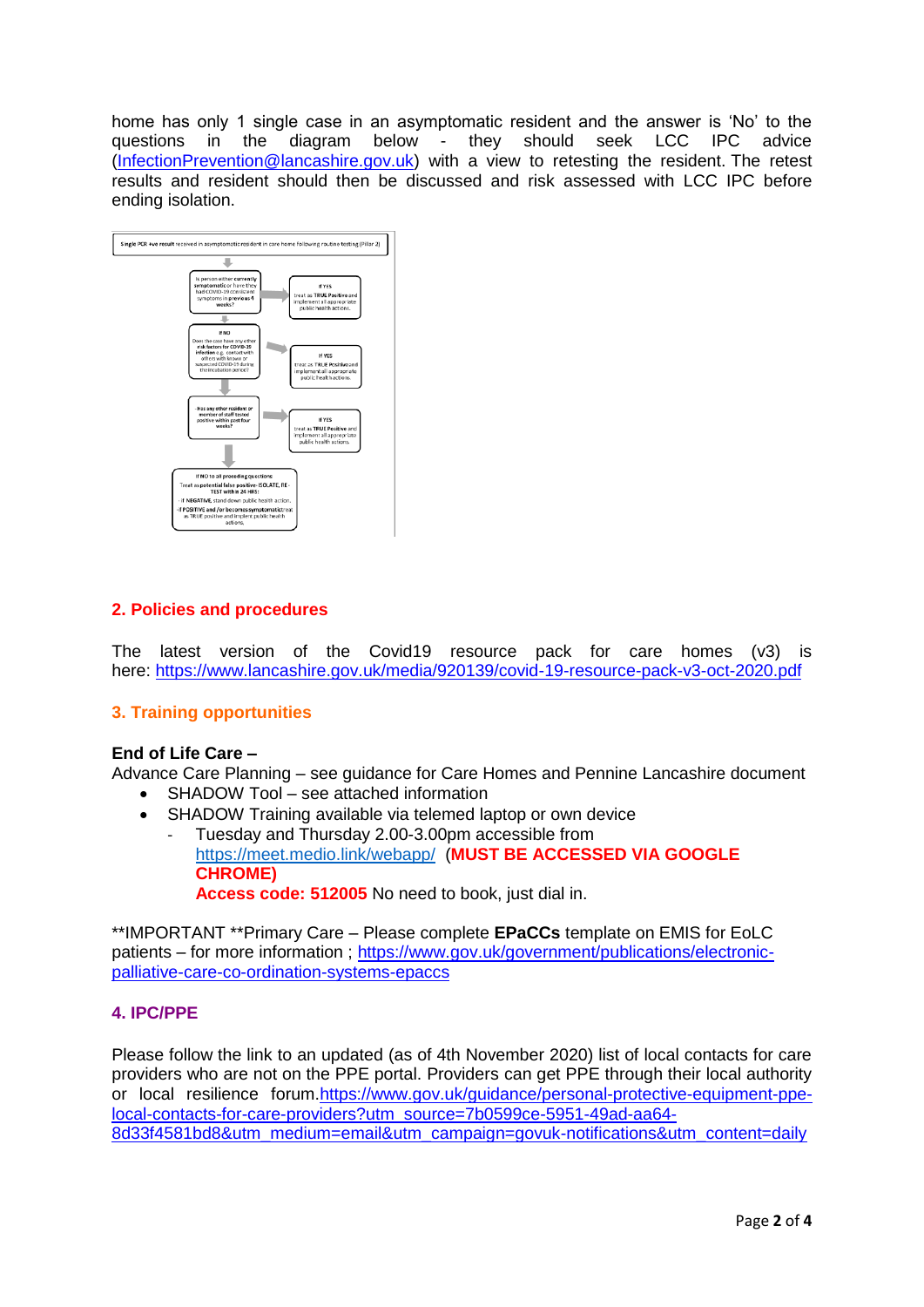home has only 1 single case in an asymptomatic resident and the answer is 'No' to the questions in the diagram below - they should seek LCC IPC advice [\(InfectionPrevention@lancashire.gov.uk\)](mailto:InfectionPrevention@lancashire.gov.uk) with a view to retesting the resident. The retest results and resident should then be discussed and risk assessed with LCC IPC before ending isolation.



## **2. Policies and procedures**

The latest version of the Covid19 resource pack for care homes (v3) is here: <https://www.lancashire.gov.uk/media/920139/covid-19-resource-pack-v3-oct-2020.pdf>

## **3. Training opportunities**

### **End of Life Care –**

Advance Care Planning – see guidance for Care Homes and Pennine Lancashire document

- SHADOW Tool see attached information
- SHADOW Training available via telemed laptop or own device
	- Tuesday and Thursday 2.00-3.00pm accessible from <https://meet.medio.link/webapp/> (**MUST BE ACCESSED VIA GOOGLE CHROME) Access code: 512005** No need to book, just dial in.

\*\*IMPORTANT \*\*Primary Care – Please complete **EPaCCs** template on EMIS for EoLC patients – for more information ; [https://www.gov.uk/government/publications/electronic](https://www.gov.uk/government/publications/electronic-palliative-care-co-ordination-systems-epaccs)[palliative-care-co-ordination-systems-epaccs](https://www.gov.uk/government/publications/electronic-palliative-care-co-ordination-systems-epaccs)

### **4. IPC/PPE**

Please follow the link to an updated (as of 4th November 2020) list of local contacts for care providers who are not on the PPE portal. Providers can get PPE through their local authority or local resilience forum[.https://www.gov.uk/guidance/personal-protective-equipment-ppe](https://www.gov.uk/guidance/personal-protective-equipment-ppe-local-contacts-for-care-providers?utm_source=7b0599ce-5951-49ad-aa64-8d33f4581bd8&utm_medium=email&utm_campaign=govuk-notifications&utm_content=daily)[local-contacts-for-care-providers?utm\\_source=7b0599ce-5951-49ad-aa64-](https://www.gov.uk/guidance/personal-protective-equipment-ppe-local-contacts-for-care-providers?utm_source=7b0599ce-5951-49ad-aa64-8d33f4581bd8&utm_medium=email&utm_campaign=govuk-notifications&utm_content=daily) [8d33f4581bd8&utm\\_medium=email&utm\\_campaign=govuk-notifications&utm\\_content=daily](https://www.gov.uk/guidance/personal-protective-equipment-ppe-local-contacts-for-care-providers?utm_source=7b0599ce-5951-49ad-aa64-8d33f4581bd8&utm_medium=email&utm_campaign=govuk-notifications&utm_content=daily)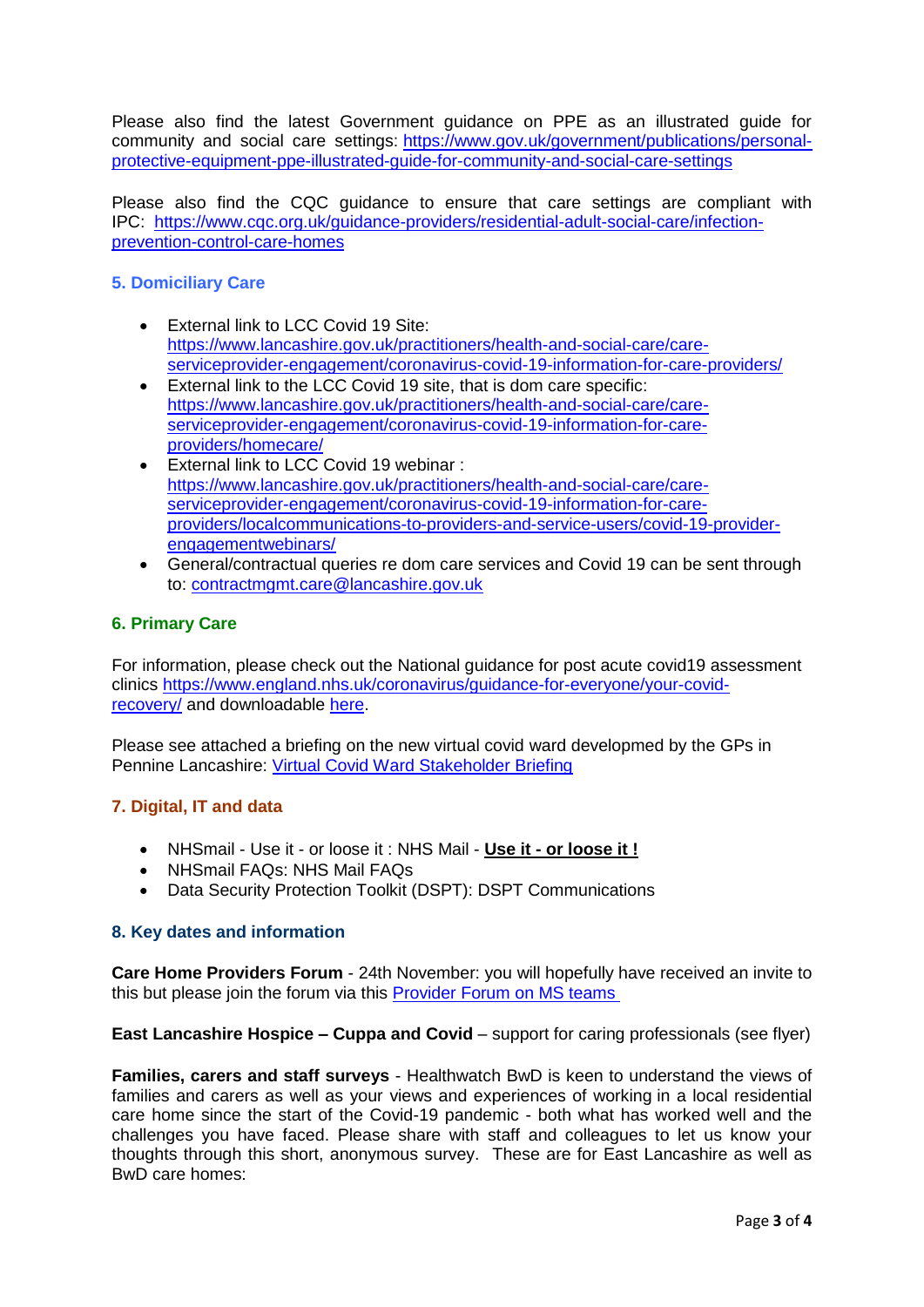Please also find the latest Government guidance on PPE as an illustrated guide for community and social care settings: [https://www.gov.uk/government/publications/personal](https://www.gov.uk/government/publications/personal-protective-equipment-ppe-illustrated-guide-for-community-and-social-care-settings)[protective-equipment-ppe-illustrated-guide-for-community-and-social-care-settings](https://www.gov.uk/government/publications/personal-protective-equipment-ppe-illustrated-guide-for-community-and-social-care-settings)

Please also find the CQC guidance to ensure that care settings are compliant with IPC: [https://www.cqc.org.uk/guidance-providers/residential-adult-social-care/infection](https://www.cqc.org.uk/guidance-providers/residential-adult-social-care/infection-prevention-control-care-homes)[prevention-control-care-homes](https://www.cqc.org.uk/guidance-providers/residential-adult-social-care/infection-prevention-control-care-homes)

# **5. Domiciliary Care**

- External link to LCC Covid 19 Site: [https://www.lancashire.gov.uk/practitioners/health-and-social-care/care](https://www.lancashire.gov.uk/practitioners/health-and-social-care/care-serviceprovider-engagement/coronavirus-covid-19-information-for-care-providers/)[serviceprovider-engagement/coronavirus-covid-19-information-for-care-providers/](https://www.lancashire.gov.uk/practitioners/health-and-social-care/care-serviceprovider-engagement/coronavirus-covid-19-information-for-care-providers/)
- External link to the LCC Covid 19 site, that is dom care specific: [https://www.lancashire.gov.uk/practitioners/health-and-social-care/care](https://www.lancashire.gov.uk/practitioners/health-and-social-care/care-serviceprovider-engagement/coronavirus-covid-19-information-for-care-providers/homecare/)[serviceprovider-engagement/coronavirus-covid-19-information-for-care](https://www.lancashire.gov.uk/practitioners/health-and-social-care/care-serviceprovider-engagement/coronavirus-covid-19-information-for-care-providers/homecare/)[providers/homecare/](https://www.lancashire.gov.uk/practitioners/health-and-social-care/care-serviceprovider-engagement/coronavirus-covid-19-information-for-care-providers/homecare/)
- External link to LCC Covid 19 webinar : [https://www.lancashire.gov.uk/practitioners/health-and-social-care/care](https://www.lancashire.gov.uk/practitioners/health-and-social-care/care-serviceprovider-engagement/coronavirus-covid-19-information-for-care-providers/localcommunications-to-providers-and-service-users/covid-19-provider-engagementwebinars/)[serviceprovider-engagement/coronavirus-covid-19-information-for-care](https://www.lancashire.gov.uk/practitioners/health-and-social-care/care-serviceprovider-engagement/coronavirus-covid-19-information-for-care-providers/localcommunications-to-providers-and-service-users/covid-19-provider-engagementwebinars/)[providers/localcommunications-to-providers-and-service-users/covid-19-provider](https://www.lancashire.gov.uk/practitioners/health-and-social-care/care-serviceprovider-engagement/coronavirus-covid-19-information-for-care-providers/localcommunications-to-providers-and-service-users/covid-19-provider-engagementwebinars/)[engagementwebinars/](https://www.lancashire.gov.uk/practitioners/health-and-social-care/care-serviceprovider-engagement/coronavirus-covid-19-information-for-care-providers/localcommunications-to-providers-and-service-users/covid-19-provider-engagementwebinars/)
- General/contractual queries re dom care services and Covid 19 can be sent through to: [contractmgmt.care@lancashire.gov.uk](mailto:contractmgmt.care@lancashire.gov.uk)

## **6. Primary Care**

For information, please check out the National guidance for post acute covid19 assessment clinics [https://www.england.nhs.uk/coronavirus/guidance-for-everyone/your-covid](https://www.england.nhs.uk/coronavirus/guidance-for-everyone/your-covid-recovery/)[recovery/](https://www.england.nhs.uk/coronavirus/guidance-for-everyone/your-covid-recovery/) and downloadable [here.](images/RegulatedCareSector/C0840_PostCOVID_assessment_clinic_guidance_6_November_2020.pdf)

Please see attached a briefing on the new virtual covid ward developmed by the GPs in Pennine Lancashire: [Virtual Covid Ward Stakeholder Briefing](images/RegulatedCareSector/Pennine_Lancashire_CVW_Stakeholder_Briefing_Final_Oct_20.docx)

## **7. Digital, IT and data**

- NHSmail Use it or loose it : NHS Mail **Use it - or loose it !**
- NHSmail FAQs: NHS Mail FAQs
- Data Security Protection Toolkit (DSPT): DSPT Communications

### **8. Key dates and information**

**Care Home Providers Forum** - 24th November: you will hopefully have received an invite to this but please join the forum via this [Provider Forum on MS teams](https://teams.microsoft.com/l/meetup-join/19%3ameeting_OWE0ZjdiNjUtNTRmZC00YzE2LWFhMjYtYjk2MGRhOTQ5NTEw%40thread.v2/0?context=%7b%22Tid%22%3a%2237c354b2-85b0-47f5-b222-07b48d774ee3%22%2c%22Oid%22%3a%226ae1fd49-b6bd-4e18-8c59-b3f5992aa6e2%22%7d) 

**East Lancashire Hospice – Cuppa and Covid** – support for caring professionals (see flyer)

**Families, carers and staff surveys** - Healthwatch BwD is keen to understand the views of families and carers as well as your views and experiences of working in a local residential care home since the start of the Covid-19 pandemic - both what has worked well and the challenges you have faced. Please share with staff and colleagues to let us know your thoughts through this short, anonymous survey. These are for East Lancashire as well as BwD care homes: